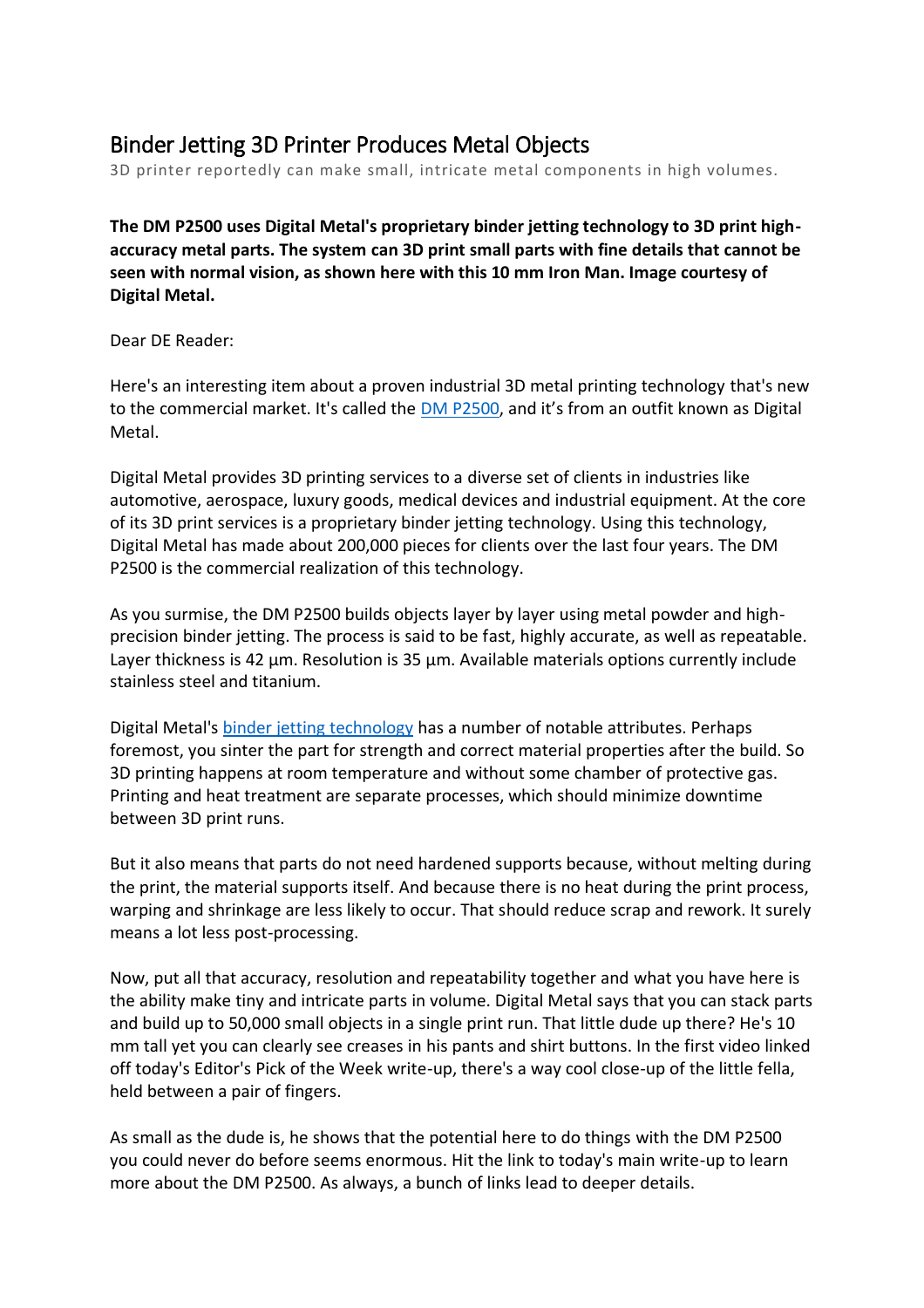## Binder Jetting 3D Printer Produces Metal Objects

3D printer reportedly can make small, intricate metal components in high volumes.

**The DM P2500 uses Digital Metal's proprietary binder jetting technology to 3D print highaccuracy metal parts. The system can 3D print small parts with fine details that cannot be seen with normal vision, as shown here with this 10 mm Iron Man. Image courtesy of Digital Metal.**

Dear DE Reader:

Here's an interesting item about a proven industrial 3D metal printing technology that's new to the commercial market. It's called the [DM P2500](http://den-media.com/portal/wts/ucmcgbbvBs6bbBfv%7CcwbyrDcsEo73ca8%7C8%7C8%7C8c), and it's from an outfit known as Digital Metal.

Digital Metal provides 3D printing services to a diverse set of clients in industries like automotive, aerospace, luxury goods, medical devices and industrial equipment. At the core of its 3D print services is a proprietary binder jetting technology. Using this technology, Digital Metal has made about 200,000 pieces for clients over the last four years. The DM P2500 is the commercial realization of this technology.

As you surmise, the DM P2500 builds objects layer by layer using metal powder and highprecision binder jetting. The process is said to be fast, highly accurate, as well as repeatable. Layer thickness is 42 µm. Resolution is 35 µm. Available materials options currently include stainless steel and titanium.

Digital Metal's [binder jetting technology](http://den-media.com/portal/wts/ucmcgbbvBs6bbBfv%7CcwbysecsEo73ca8%7C8%7C8%7C8c) has a number of notable attributes. Perhaps foremost, you sinter the part for strength and correct material properties after the build. So 3D printing happens at room temperature and without some chamber of protective gas. Printing and heat treatment are separate processes, which should minimize downtime between 3D print runs.

But it also means that parts do not need hardened supports because, without melting during the print, the material supports itself. And because there is no heat during the print process, warping and shrinkage are less likely to occur. That should reduce scrap and rework. It surely means a lot less post-processing.

Now, put all that accuracy, resolution and repeatability together and what you have here is the ability make tiny and intricate parts in volume. Digital Metal says that you can stack parts and build up to 50,000 small objects in a single print run. That little dude up there? He's 10 mm tall yet you can clearly see creases in his pants and shirt buttons. In the first video linked off today's Editor's Pick of the Week write-up, there's a way cool close-up of the little fella, held between a pair of fingers.

As small as the dude is, he shows that the potential here to do things with the DM P2500 you could never do before seems enormous. Hit the link to today's main write-up to learn more about the DM P2500. As always, a bunch of links lead to deeper details.